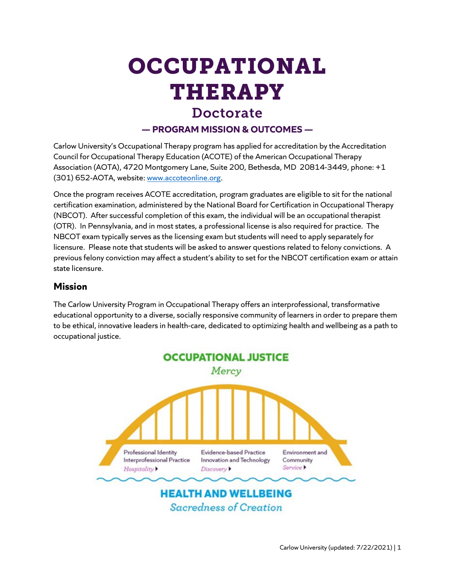# OCCUPATIONAL THERAPY

## Doctorate

#### **— PROGRAM MISSION & OUTCOMES —**

Carlow University's Occupational Therapy program has applied for accreditation by the Accreditation Council for Occupational Therapy Education (ACOTE) of the American Occupational Therapy Association (AOTA), 4720 Montgomery Lane, Suite 200, Bethesda, MD 20814-3449, phone: +1 (301) 652-AOTA, website: [www.accoteonline.org.](http://www.accoteonline.org/)

Once the program receives ACOTE accreditation, program graduates are eligible to sit for the national certification examination, administered by the National Board for Certification in Occupational Therapy (NBCOT). After successful completion of this exam, the individual will be an occupational therapist (OTR). In Pennsylvania, and in most states, a professional license is also required for practice. The NBCOT exam typically serves as the licensing exam but students will need to apply separately for licensure. Please note that students will be asked to answer questions related to felony convictions. A previous felony conviction may affect a student's ability to set for the NBCOT certification exam or attain state licensure.

#### **Mission**

The Carlow University Program in Occupational Therapy offers an interprofessional, transformative educational opportunity to a diverse, socially responsive community of learners in order to prepare them to be ethical, innovative leaders in health-care, dedicated to optimizing health and wellbeing as a path to occupational justice.